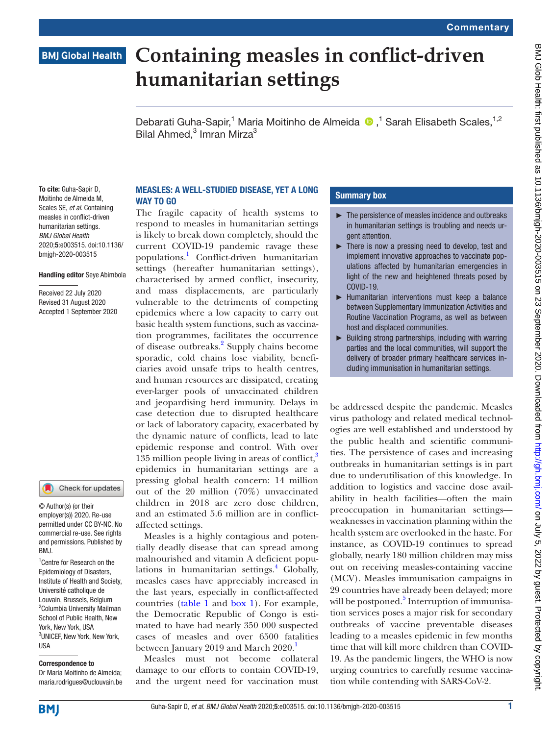# **Containing measles in conflict-driven BMJ Global Health humanitarian settings**

DebaratiGuha-Sapir,<sup>1</sup> Maria Moitinho de Almeida <sup>®</sup>,<sup>1</sup> Sarah Elisabeth Scales,<sup>1,2</sup> Bilal Ahmed,<sup>3</sup> Imran Mirza<sup>3</sup>

To cite: Guha-Sapir D, Moitinho de Almeida M, Scales SE, *et al*. Containing measles in conflict-driven humanitarian settings. *BMJ Global Health* 2020;5:e003515. doi:10.1136/ bmjgh-2020-003515

### Handling editor Seye Abimbola

Received 22 July 2020 Revised 31 August 2020 Accepted 1 September 2020

### Check for updates

© Author(s) (or their employer(s)) 2020. Re-use permitted under CC BY-NC. No commercial re-use. See rights and permissions. Published by BMJ.

1 Centre for Research on the

## Epidemiology of Disasters,

Institute of Health and Society, Université catholique de Louvain, Brussels, Belgium 2 Columbia University Mailman School of Public Health, New York, New York, USA 3 UNICEF, New York, New York, USA

#### Correspondence to

Dr Maria Moitinho de Almeida; maria.rodrigues@uclouvain.be

## MEASLES: A WELL-STUDIED DISEASE, YET A LONG WAY TO GO

The fragile capacity of health systems to respond to measles in humanitarian settings is likely to break down completely, should the current COVID-19 pandemic ravage these populations.<sup>[1](#page-3-0)</sup> Conflict-driven humanitarian settings (hereafter humanitarian settings), characterised by armed conflict, insecurity, and mass displacements, are particularly vulnerable to the detriments of competing epidemics where a low capacity to carry out basic health system functions, such as vaccination programmes, facilitates the occurrence of disease outbreaks.<sup>2</sup> Supply chains become sporadic, cold chains lose viability, beneficiaries avoid unsafe trips to health centres, and human resources are dissipated, creating ever-larger pools of unvaccinated children and jeopardising herd immunity. Delays in case detection due to disrupted healthcare or lack of laboratory capacity, exacerbated by the dynamic nature of conflicts, lead to late epidemic response and control. With over 135 million people living in areas of conflict, $3\frac{3}{2}$ epidemics in humanitarian settings are a pressing global health concern: 14 million out of the 20 million (70%) unvaccinated children in 2018 are zero dose children, and an estimated 5.6 million are in conflictaffected settings.

Measles is a highly contagious and potentially deadly disease that can spread among malnourished and vitamin A deficient populations in humanitarian settings.<sup>4</sup> Globally, measles cases have appreciably increased in the last years, especially in conflict-affected countries [\(table](#page-1-0) 1 and [box](#page-1-1) 1). For example, the Democratic Republic of Congo is estimated to have had nearly 350 000 suspected cases of measles and over 6500 fatalities between January 20[1](#page-3-0)9 and March 2020.

Measles must not become collateral damage to our efforts to contain COVID-19, and the urgent need for vaccination must

### Summary box

- $\blacktriangleright$  The persistence of measles incidence and outbreaks in humanitarian settings is troubling and needs urgent attention.
- ► There is now a pressing need to develop, test and implement innovative approaches to vaccinate populations affected by humanitarian emergencies in light of the new and heightened threats posed by COVID-19.
- ► Humanitarian interventions must keep a balance between Supplementary Immunization Activities and Routine Vaccination Programs, as well as between host and displaced communities.
- ► Building strong partnerships, including with warring parties and the local communities, will support the delivery of broader primary healthcare services including immunisation in humanitarian settings.

be addressed despite the pandemic. Measles virus pathology and related medical technologies are well established and understood by the public health and scientific communities. The persistence of cases and increasing outbreaks in humanitarian settings is in part due to underutilisation of this knowledge. In addition to logistics and vaccine dose availability in health facilities—often the main preoccupation in humanitarian settings weaknesses in vaccination planning within the health system are overlooked in the haste. For instance, as COVID-19 continues to spread globally, nearly 180 million children may miss out on receiving measles-containing vaccine (MCV). Measles immunisation campaigns in 29 countries have already been delayed; more will be postponed.<sup>[5](#page-3-4)</sup> Interruption of immunisation services poses a major risk for secondary outbreaks of vaccine preventable diseases leading to a measles epidemic in few months time that will kill more children than COVID-19. As the pandemic lingers, the WHO is now urging countries to carefully resume vaccination while contending with SARS-CoV-2.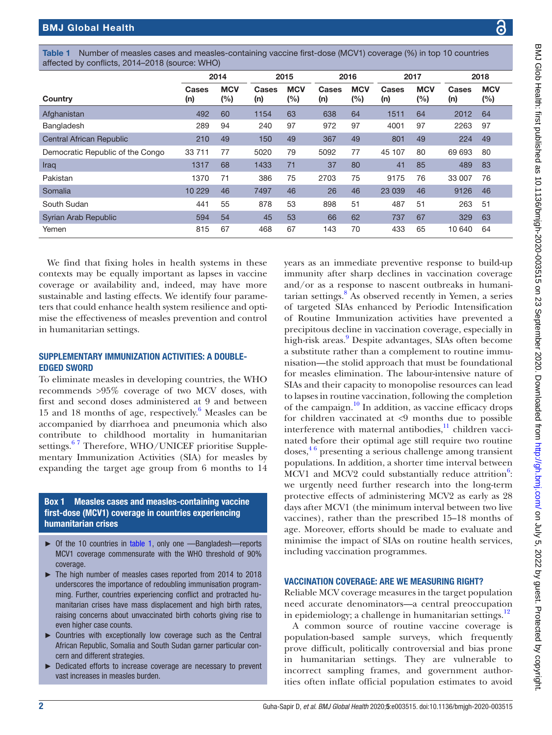**Country** 

years as an immediate preventive response to build-up immunity after sharp declines in vaccination coverage and/or as a response to nascent outbreaks in humanitarian settings.<sup>8</sup> As observed recently in Yemen, a series of targeted SIAs enhanced by Periodic Intensification affected by conflicts, 2014–2018 (source: WHO) 2014 2015 2016 2017 2018 **MCV**  $(%)$ Cases (n) **MCV** (%) Cases (n) **MCV**  $(%)$ **Cases** (n) **MCV** (%) Cases (n) **MCV** (%) Afghanistan 492 60 1154 63 638 64 1511 64 2012 64 Bangladesh 289 94 240 97 972 97 4001 97 2263 97 Central African Republic 210 49 150 49 367 49 801 49 224 49 Democratic Republic of the Congo 33 711 77 5020 79 5092 77 45 107 80 69 693 80 Iraq 1317 68 1433 71 37 80 41 85 489 83 Pakistan 1370 71 386 75 2703 75 9175 76 33 007 76 Somalia 10 229 46 7497 46 26 46 23 039 46 9126 46 South Sudan 441 55 878 53 898 51 487 51 263 51 Syrian Arab Republic **594 54** 54 45 53 66 62 737 67 329 63 Yemen 815 67 468 67 143 70 433 65 10 640 64

<span id="page-1-0"></span>Table 1 Number of measles cases and measles-containing vaccine first-dose (MCV1) coverage (%) in top 10 countries

Cases (n)

We find that fixing holes in health systems in these contexts may be equally important as lapses in vaccine coverage or availability and, indeed, may have more sustainable and lasting effects. We identify four parameters that could enhance health system resilience and optimise the effectiveness of measles prevention and control in humanitarian settings.

## SUPPLEMENTARY IMMUNIZATION ACTIVITIES: A DOUBLE-EDGED SWORD

To eliminate measles in developing countries, the WHO recommends >95% coverage of two MCV doses, with first and second doses administered at 9 and between 15 and 18 months of age, respectively. $6$  Measles can be accompanied by diarrhoea and pneumonia which also contribute to childhood mortality in humanitarian settings. $67$  Therefore, WHO/UNICEF prioritise Supplementary Immunization Activities (SIA) for measles by expanding the target age group from 6 months to 14

## Box 1 Measles cases and measles-containing vaccine first-dose (MCV1) coverage in countries experiencing humanitarian crises

- <span id="page-1-1"></span>► Of the 10 countries in [table 1](#page-1-0), only one —Bangladesh—reports MCV1 coverage commensurate with the WHO threshold of 90% coverage.
- ► The high number of measles cases reported from 2014 to 2018 underscores the importance of redoubling immunisation programming. Further, countries experiencing conflict and protracted humanitarian crises have mass displacement and high birth rates, raising concerns about unvaccinated birth cohorts giving rise to even higher case counts.
- ► Countries with exceptionally low coverage such as the Central African Republic, Somalia and South Sudan garner particular concern and different strategies.
- Dedicated efforts to increase coverage are necessary to prevent vast increases in measles burden.

of Routine Immunization activities have prevented a precipitous decline in vaccination coverage, especially in high-risk areas.<sup>9</sup> Despite advantages, SIAs often become a substitute rather than a complement to routine immunisation—the stolid approach that must be foundational for measles elimination. The labour-intensive nature of SIAs and their capacity to monopolise resources can lead to lapses in routine vaccination, following the completion of the campaign. $\frac{10}{10}$  In addition, as vaccine efficacy drops for children vaccinated at <9 months due to possible interference with maternal antibodies, $\frac{11}{11}$  children vaccinated before their optimal age still require two routine  $\cos^{46}$  presenting a serious challenge among transient populations. In addition, a shorter time interval between MCV1 and MCV2 could substantially reduce attrition<sup>6</sup>: we urgently need further research into the long-term protective effects of administering MCV2 as early as 28 days after MCV1 (the minimum interval between two live vaccines), rather than the prescribed 15–18 months of age. Moreover, efforts should be made to evaluate and minimise the impact of SIAs on routine health services, including vaccination programmes.

## VACCINATION COVERAGE: ARE WE MEASURING RIGHT?

Reliable MCV coverage measures in the target population need accurate denominators—a central preoccupation in epidemiology; a challenge in humanitarian settings. $12$ 

A common source of routine vaccine coverage is population-based sample surveys, which frequently prove difficult, politically controversial and bias prone in humanitarian settings. They are vulnerable to incorrect sampling frames, and government authorities often inflate official population estimates to avoid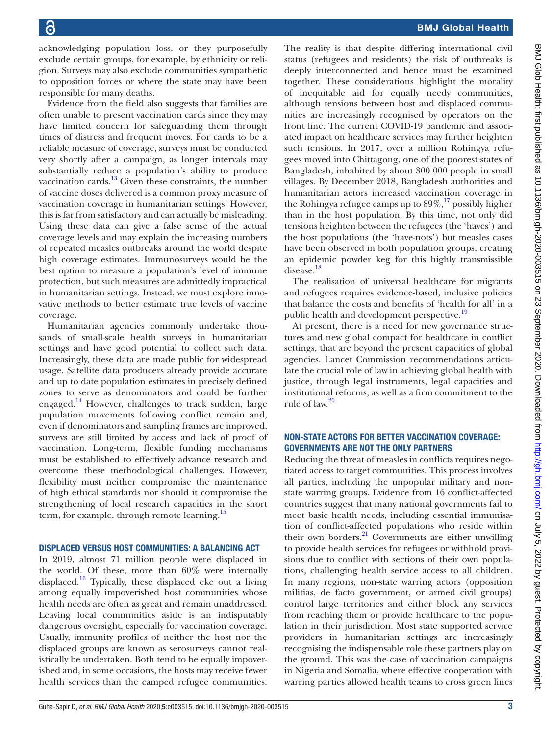acknowledging population loss, or they purposefully exclude certain groups, for example, by ethnicity or religion. Surveys may also exclude communities sympathetic to opposition forces or where the state may have been responsible for many deaths.

Evidence from the field also suggests that families are often unable to present vaccination cards since they may have limited concern for safeguarding them through times of distress and frequent moves. For cards to be a reliable measure of coverage, surveys must be conducted very shortly after a campaign, as longer intervals may substantially reduce a population's ability to produce vaccination cards.[13](#page-3-11) Given these constraints, the number of vaccine doses delivered is a common proxy measure of vaccination coverage in humanitarian settings. However, this is far from satisfactory and can actually be misleading. Using these data can give a false sense of the actual coverage levels and may explain the increasing numbers of repeated measles outbreaks around the world despite high coverage estimates. Immunosurveys would be the best option to measure a population's level of immune protection, but such measures are admittedly impractical in humanitarian settings. Instead, we must explore innovative methods to better estimate true levels of vaccine coverage.

Humanitarian agencies commonly undertake thousands of small-scale health surveys in humanitarian settings and have good potential to collect such data. Increasingly, these data are made public for widespread usage. Satellite data producers already provide accurate and up to date population estimates in precisely defined zones to serve as denominators and could be further engaged.<sup>[14](#page-3-12)</sup> However, challenges to track sudden, large population movements following conflict remain and, even if denominators and sampling frames are improved, surveys are still limited by access and lack of proof of vaccination. Long-term, flexible funding mechanisms must be established to effectively advance research and overcome these methodological challenges. However, flexibility must neither compromise the maintenance of high ethical standards nor should it compromise the strengthening of local research capacities in the short term, for example, through remote learning. $15$ 

### DISPLACED VERSUS HOST COMMUNITIES: A BALANCING ACT

In 2019, almost 71 million people were displaced in the world. Of these, more than 60% were internally displaced.<sup>[16](#page-3-14)</sup> Typically, these displaced eke out a living among equally impoverished host communities whose health needs are often as great and remain unaddressed. Leaving local communities aside is an indisputably dangerous oversight, especially for vaccination coverage. Usually, immunity profiles of neither the host nor the displaced groups are known as serosurveys cannot realistically be undertaken. Both tend to be equally impoverished and, in some occasions, the hosts may receive fewer health services than the camped refugee communities.

The reality is that despite differing international civil status (refugees and residents) the risk of outbreaks is deeply interconnected and hence must be examined together. These considerations highlight the morality of inequitable aid for equally needy communities, although tensions between host and displaced communities are increasingly recognised by operators on the front line. The current COVID-19 pandemic and associated impact on healthcare services may further heighten such tensions. In 2017, over a million Rohingya refugees moved into Chittagong, one of the poorest states of Bangladesh, inhabited by about 300 000 people in small villages. By December 2018, Bangladesh authorities and humanitarian actors increased vaccination coverage in the Rohingya refugee camps up to  $89\%$ , <sup>17</sup> possibly higher than in the host population. By this time, not only did tensions heighten between the refugees (the 'haves') and the host populations (the 'have-nots') but measles cases have been observed in both population groups, creating an epidemic powder keg for this highly transmissible disease[.18](#page-4-0)

The realisation of universal healthcare for migrants and refugees requires evidence-based, inclusive policies that balance the costs and benefits of 'health for all' in a public health and development perspective.<sup>[19](#page-4-1)</sup>

At present, there is a need for new governance structures and new global compact for healthcare in conflict settings, that are beyond the present capacities of global agencies. Lancet Commission recommendations articulate the crucial role of law in achieving global health with justice, through legal instruments, legal capacities and institutional reforms, as well as a firm commitment to the rule of law. $20$ 

### NON-STATE ACTORS FOR BETTER VACCINATION COVERAGE: GOVERNMENTS ARE NOT THE ONLY PARTNERS

Reducing the threat of measles in conflicts requires negotiated access to target communities. This process involves all parties, including the unpopular military and nonstate warring groups. Evidence from 16 conflict-affected countries suggest that many national governments fail to meet basic health needs, including essential immunisation of conflict-affected populations who reside within their own borders. $21$  Governments are either unwilling to provide health services for refugees or withhold provisions due to conflict with sections of their own populations, challenging health service access to all children. In many regions, non-state warring actors (opposition militias, de facto government, or armed civil groups) control large territories and either block any services from reaching them or provide healthcare to the population in their jurisdiction. Most state supported service providers in humanitarian settings are increasingly recognising the indispensable role these partners play on the ground. This was the case of vaccination campaigns in Nigeria and Somalia, where effective cooperation with warring parties allowed health teams to cross green lines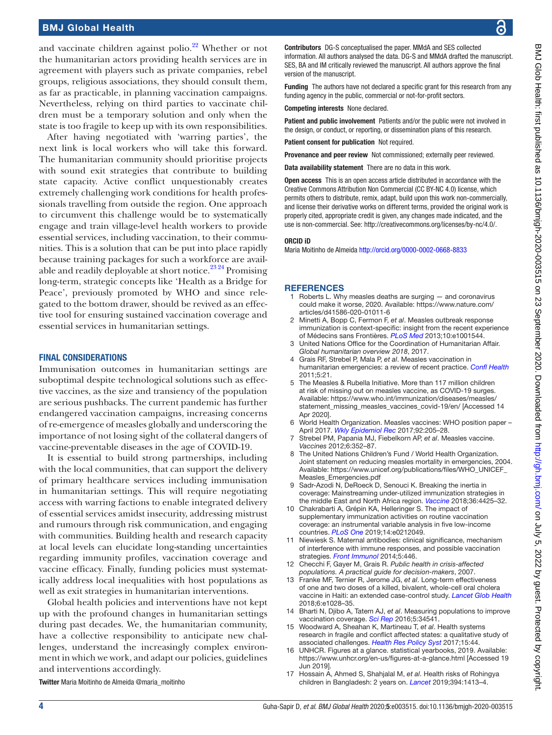## BMJ Global Health

and vaccinate children against polio. $22$  Whether or not the humanitarian actors providing health services are in agreement with players such as private companies, rebel groups, religious associations, they should consult them, as far as practicable, in planning vaccination campaigns. Nevertheless, relying on third parties to vaccinate children must be a temporary solution and only when the state is too fragile to keep up with its own responsibilities.

After having negotiated with 'warring parties', the next link is local workers who will take this forward. The humanitarian community should prioritise projects with sound exit strategies that contribute to building state capacity. Active conflict unquestionably creates extremely challenging work conditions for health professionals travelling from outside the region. One approach to circumvent this challenge would be to systematically engage and train village-level health workers to provide essential services, including vaccination, to their communities. This is a solution that can be put into place rapidly because training packages for such a workforce are available and readily deployable at short notice. $23\frac{24}{1}$  Promising long-term, strategic concepts like 'Health as a Bridge for Peace', previously promoted by WHO and since relegated to the bottom drawer, should be revived as an effective tool for ensuring sustained vaccination coverage and essential services in humanitarian settings.

### FINAL CONSIDERATIONS

Immunisation outcomes in humanitarian settings are suboptimal despite technological solutions such as effective vaccines, as the size and transiency of the population are serious pushbacks. The current pandemic has further endangered vaccination campaigns, increasing concerns of re-emergence of measles globally and underscoring the importance of not losing sight of the collateral dangers of vaccine-preventable diseases in the age of COVID-19.

It is essential to build strong partnerships, including with the local communities, that can support the delivery of primary healthcare services including immunisation in humanitarian settings. This will require negotiating access with warring factions to enable integrated delivery of essential services amidst insecurity, addressing mistrust and rumours through risk communication, and engaging with communities. Building health and research capacity at local levels can elucidate long-standing uncertainties regarding immunity profiles, vaccination coverage and vaccine efficacy. Finally, funding policies must systematically address local inequalities with host populations as well as exit strategies in humanitarian interventions.

Global health policies and interventions have not kept up with the profound changes in humanitarian settings during past decades. We, the humanitarian community, have a collective responsibility to anticipate new challenges, understand the increasingly complex environment in which we work, and adapt our policies, guidelines and interventions accordingly.

Twitter Maria Moitinho de Almeida [@maria\\_moitinho](https://twitter.com/maria_moitinho)

BMJ Glob Health: first published as 10.1136/bmjgh-2020-003515 on 23 September 2020. Downloaded from http://gh.bmj.com/ on July 5, 2022 by guest. Protected by copyrigh BMJ Glob Health: first published as 10.1136/bmjgh-2020-003515 on 23 September 2020. Downloaded from <http://gh.bmj.com/> 9n July 5, 2022 by guest. Protected by copyright.

Contributors DG-S conceptualised the paper. MMdA and SES collected information. All authors analysed the data. DG-S and MMdA drafted the manuscript. SES, BA and IM critically reviewed the manuscript. All authors approve the final version of the manuscript.

Funding The authors have not declared a specific grant for this research from any funding agency in the public, commercial or not-for-profit sectors.

Competing interests None declared.

Patient and public involvement Patients and/or the public were not involved in the design, or conduct, or reporting, or dissemination plans of this research.

Patient consent for publication Not required.

Provenance and peer review Not commissioned; externally peer reviewed.

Data availability statement There are no data in this work.

Open access This is an open access article distributed in accordance with the Creative Commons Attribution Non Commercial (CC BY-NC 4.0) license, which permits others to distribute, remix, adapt, build upon this work non-commercially, and license their derivative works on different terms, provided the original work is properly cited, appropriate credit is given, any changes made indicated, and the use is non-commercial. See: [http://creativecommons.org/licenses/by-nc/4.0/.](http://creativecommons.org/licenses/by-nc/4.0/)

### ORCID iD

Maria Moitinho de Almeida <http://orcid.org/0000-0002-0668-8833>

### **REFERENCES**

- <span id="page-3-0"></span>1 Roberts L. Why measles deaths are surging — and coronavirus could make it worse, 2020. Available: [https://www.nature.com/](https://www.nature.com/articles/d41586-020-01011-6) [articles/d41586-020-01011-6](https://www.nature.com/articles/d41586-020-01011-6)
- <span id="page-3-1"></span>2 Minetti A, Bopp C, Fermon F, *et al*. Measles outbreak response immunization is context-specific: insight from the recent experience of Médecins sans Frontières. *[PLoS Med](http://dx.doi.org/10.1371/journal.pmed.1001544)* 2013;10:e1001544.
- <span id="page-3-2"></span>3 United Nations Office for the Coordination of Humanitarian Affair. *Global humanitarian overview 2018*, 2017.
- <span id="page-3-3"></span>4 Grais RF, Strebel P, Mala P, *et al*. Measles vaccination in humanitarian emergencies: a review of recent practice. *[Confl Health](http://dx.doi.org/10.1186/1752-1505-5-21)* 2011;5:21.
- <span id="page-3-4"></span>5 The Measles & Rubella Initiative. More than 117 million children at risk of missing out on measles vaccine, as COVID-19 surges. Available: [https://www.who.int/immunization/diseases/measles/](https://www.who.int/immunization/diseases/measles/statement_missing_measles_vaccines_covid-19/en/) [statement\\_missing\\_measles\\_vaccines\\_covid-19/en/](https://www.who.int/immunization/diseases/measles/statement_missing_measles_vaccines_covid-19/en/) [Accessed 14 Apr 2020].
- <span id="page-3-5"></span>6 World Health Organization. Measles vaccines: WHO position paper – April 2017. *[Wkly Epidemiol Rec](http://www.ncbi.nlm.nih.gov/pubmed/http://www.ncbi.nlm.nih.gov/pubmed/28459148)* 2017;92:205–28.
- 7 Strebel PM, Papania MJ, Fiebelkorn AP, *et al*. Measles vaccine. *Vaccines* 2012;6:352–87.
- <span id="page-3-6"></span>The United Nations Children's Fund / World Health Organization. Joint statement on reducing measles mortality in emergencies, 2004. Available: [https://www.unicef.org/publications/files/WHO\\_UNICEF\\_](https://www.unicef.org/publications/files/WHO_UNICEF_Measles_Emergencies.pdf) [Measles\\_Emergencies.pdf](https://www.unicef.org/publications/files/WHO_UNICEF_Measles_Emergencies.pdf)
- <span id="page-3-7"></span>Sadr-Azodi N, DeRoeck D, Senouci K. Breaking the inertia in coverage: Mainstreaming under-utilized immunization strategies in the middle East and North Africa region. *[Vaccine](http://dx.doi.org/10.1016/j.vaccine.2018.05.088)* 2018;36:4425–32.
- <span id="page-3-8"></span>10 Chakrabarti A, Grépin KA, Helleringer S. The impact of supplementary immunization activities on routine vaccination coverage: an instrumental variable analysis in five low-income countries. *[PLoS One](http://dx.doi.org/10.1371/journal.pone.0212049)* 2019;14:e0212049.
- <span id="page-3-9"></span>11 Niewiesk S. Maternal antibodies: clinical significance, mechanism of interference with immune responses, and possible vaccination strategies. *[Front Immunol](http://dx.doi.org/10.3389/fimmu.2014.00446)* 2014;5:446.
- <span id="page-3-10"></span>12 Checchi F, Gayer M, Grais R. *Public health in crisis-affected populations. A practical guide for decision-makers*, 2007.
- <span id="page-3-11"></span>13 Franke MF, Ternier R, Jerome JG, *et al*. Long-term effectiveness of one and two doses of a killed, bivalent, whole-cell oral cholera vaccine in Haiti: an extended case-control study. *[Lancet Glob Health](http://dx.doi.org/10.1016/S2214-109X(18)30284-5)* 2018;6:e1028–35.
- <span id="page-3-12"></span>14 Bharti N, Djibo A, Tatem AJ, *et al*. Measuring populations to improve vaccination coverage. *[Sci Rep](http://dx.doi.org/10.1038/srep34541)* 2016;5:34541.
- <span id="page-3-13"></span>15 Woodward A, Sheahan K, Martineau T, *et al*. Health systems research in fragile and conflict affected states: a qualitative study of associated challenges. *[Health Res Policy Syst](http://dx.doi.org/10.1186/s12961-017-0204-x)* 2017;15:44.
- <span id="page-3-14"></span>16 UNHCR. Figures at a glance. statistical yearbooks, 2019. Available: <https://www.unhcr.org/en-us/figures-at-a-glance.html>[Accessed 19 Jun 2019].
- <span id="page-3-15"></span>17 Hossain A, Ahmed S, Shahjalal M, *et al*. Health risks of Rohingya children in Bangladesh: 2 years on. *[Lancet](http://dx.doi.org/10.1016/S0140-6736(19)31395-9)* 2019;394:1413–4.